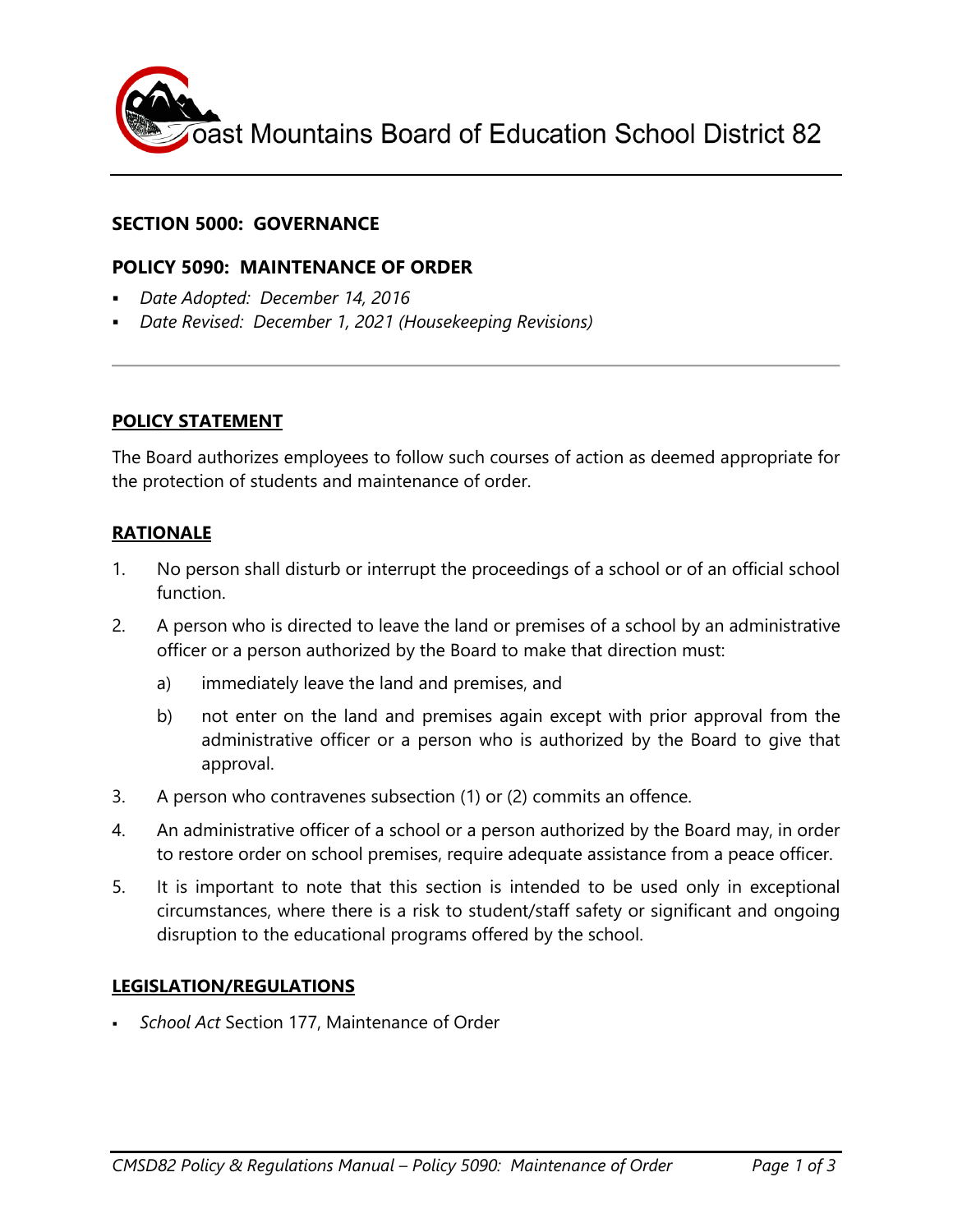

## **SECTION 5000: GOVERNANCE**

### **POLICY 5090: MAINTENANCE OF ORDER**

- *Date Adopted: December 14, 2016*
- *Date Revised: December 1, 2021 (Housekeeping Revisions)*

#### **POLICY STATEMENT**

The Board authorizes employees to follow such courses of action as deemed appropriate for the protection of students and maintenance of order.

### **RATIONALE**

- 1. No person shall disturb or interrupt the proceedings of a school or of an official school function.
- 2. A person who is directed to leave the land or premises of a school by an administrative officer or a person authorized by the Board to make that direction must:
	- a) immediately leave the land and premises, and
	- b) not enter on the land and premises again except with prior approval from the administrative officer or a person who is authorized by the Board to give that approval.
- 3. A person who contravenes subsection (1) or (2) commits an offence.
- 4. An administrative officer of a school or a person authorized by the Board may, in order to restore order on school premises, require adequate assistance from a peace officer.
- 5. It is important to note that this section is intended to be used only in exceptional circumstances, where there is a risk to student/staff safety or significant and ongoing disruption to the educational programs offered by the school.

#### **LEGISLATION/REGULATIONS**

*School Act* Section 177, Maintenance of Order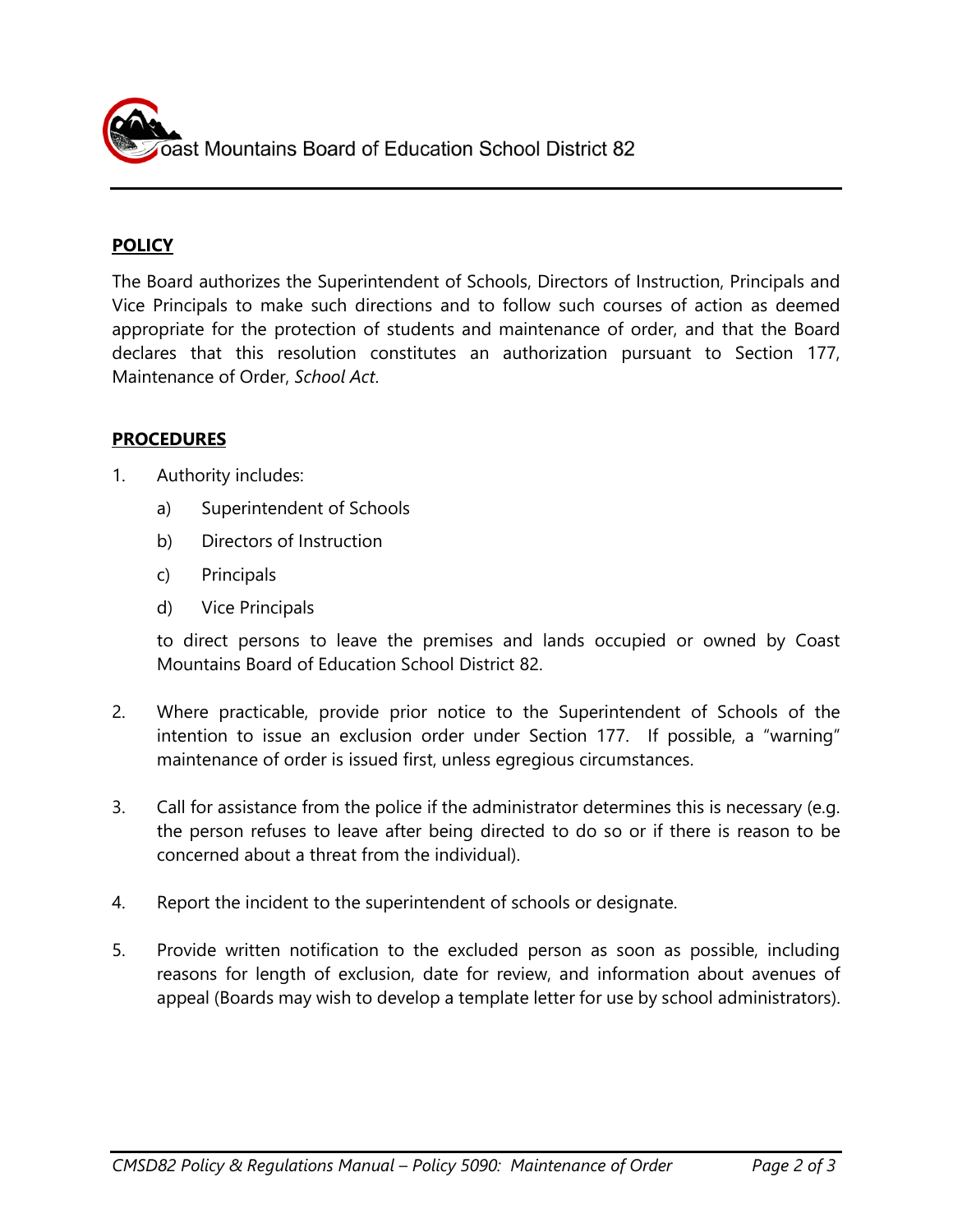Dast Mountains Board of Education School District 82

## **POLICY**

The Board authorizes the Superintendent of Schools, Directors of Instruction, Principals and Vice Principals to make such directions and to follow such courses of action as deemed appropriate for the protection of students and maintenance of order, and that the Board declares that this resolution constitutes an authorization pursuant to Section 177, Maintenance of Order, *School Act*.

## **PROCEDURES**

- 1. Authority includes:
	- a) Superintendent of Schools
	- b) Directors of Instruction
	- c) Principals
	- d) Vice Principals

to direct persons to leave the premises and lands occupied or owned by Coast Mountains Board of Education School District 82.

- 2. Where practicable, provide prior notice to the Superintendent of Schools of the intention to issue an exclusion order under Section 177. If possible, a "warning" maintenance of order is issued first, unless egregious circumstances.
- 3. Call for assistance from the police if the administrator determines this is necessary (e.g. the person refuses to leave after being directed to do so or if there is reason to be concerned about a threat from the individual).
- 4. Report the incident to the superintendent of schools or designate.
- 5. Provide written notification to the excluded person as soon as possible, including reasons for length of exclusion, date for review, and information about avenues of appeal (Boards may wish to develop a template letter for use by school administrators).